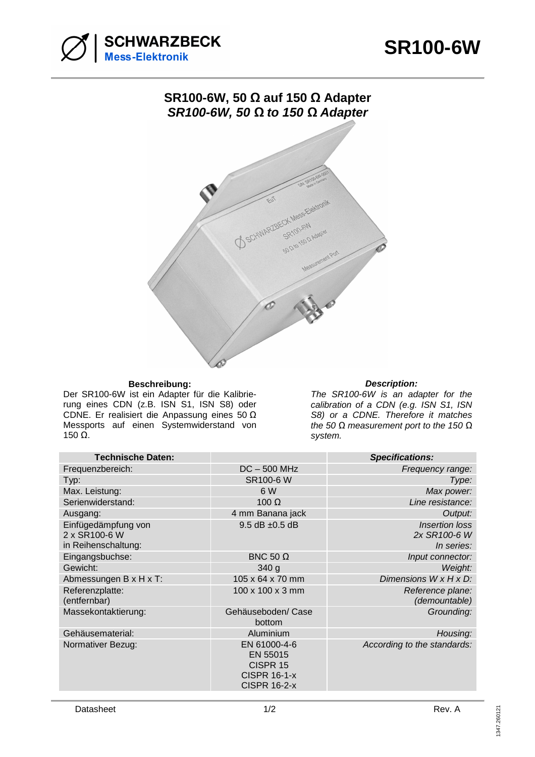



## **SR100-6W, 50 Ω auf 150 Ω Adapter SR100-6W, 50** *Ω* **to 150** *Ω* **Adapter**



## **Beschreibung: Description:**

Der SR100-6W ist ein Adapter für die Kalibrierung eines CDN (z.B. ISN S1, ISN S8) oder CDNE. Er realisiert die Anpassung eines 50 Ω Messports auf einen Systemwiderstand von  $150$  Ω.

The SR100-6W is an adapter for the calibration of a CDN (e.g. ISN S1, ISN S8) or a CDNE. Therefore it matches the 50 *Ω* measurement port to the 150 *Ω* system.

| <b>Technische Daten:</b>                                    |                                                                                    | <b>Specifications:</b>                              |
|-------------------------------------------------------------|------------------------------------------------------------------------------------|-----------------------------------------------------|
| Frequenzbereich:                                            | $DC - 500 MHz$                                                                     | Frequency range:                                    |
| Typ:                                                        | <b>SR100-6 W</b>                                                                   | Type:                                               |
| Max. Leistung:                                              | 6 W                                                                                | Max power:                                          |
| Serienwiderstand:                                           | 100 $\Omega$                                                                       | Line resistance:                                    |
| Ausgang:                                                    | 4 mm Banana jack                                                                   | Output:                                             |
| Einfügedämpfung von<br>2 x SR100-6 W<br>in Reihenschaltung: | $9.5$ dB $\pm 0.5$ dB                                                              | <b>Insertion loss</b><br>2x SR100-6 W<br>In series: |
| Eingangsbuchse:                                             | BNC 50 $\Omega$                                                                    | Input connector:                                    |
| Gewicht:                                                    | 340 <sub>g</sub>                                                                   | Weight:                                             |
| Abmessungen B x H x T:                                      | 105 x 64 x 70 mm                                                                   | Dimensions W x H x D:                               |
| Referenzplatte:<br>(entfernbar)                             | 100 x 100 x 3 mm                                                                   | Reference plane:<br>(demountable)                   |
| Massekontaktierung:                                         | Gehäuseboden/Case<br>bottom                                                        | Grounding:                                          |
| Gehäusematerial:                                            | Aluminium                                                                          | Housing:                                            |
| Normativer Bezug:                                           | EN 61000-4-6<br>EN 55015<br>CISPR 15<br><b>CISPR 16-1-x</b><br><b>CISPR 16-2-x</b> | According to the standards:                         |